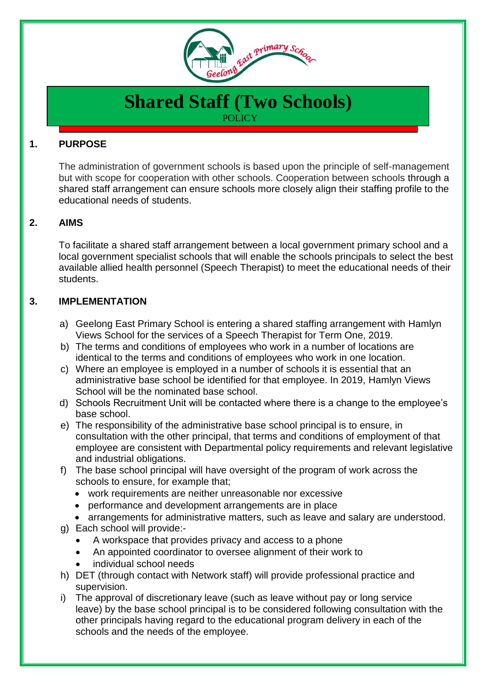

# **Shared Staff (Two Schools) POLICY**

# **1. PURPOSE**

The administration of government schools is based upon the principle of self-management but with scope for cooperation with other schools. Cooperation between schools through a shared staff arrangement can ensure schools more closely align their staffing profile to the educational needs of students.

## **2. AIMS**

To facilitate a shared staff arrangement between a local government primary school and a local government specialist schools that will enable the schools principals to select the best available allied health personnel (Speech Therapist) to meet the educational needs of their students.

#### **3. IMPLEMENTATION**

- a) Geelong East Primary School is entering a shared staffing arrangement with Hamlyn Views School for the services of a Speech Therapist for Term One, 2019.
- b) The terms and conditions of employees who work in a number of locations are identical to the terms and conditions of employees who work in one location.
- c) Where an employee is employed in a number of schools it is essential that an administrative base school be identified for that employee. In 2019, Hamlyn Views School will be the nominated base school.
- d) Schools Recruitment Unit will be contacted where there is a change to the employee's base school.
- e) The responsibility of the administrative base school principal is to ensure, in consultation with the other principal, that terms and conditions of employment of that employee are consistent with Departmental policy requirements and relevant legislative and industrial obligations.
- f) The base school principal will have oversight of the program of work across the schools to ensure, for example that;
	- work requirements are neither unreasonable nor excessive
	- performance and development arrangements are in place
- arrangements for administrative matters, such as leave and salary are understood. g) Each school will provide:-
	- A workspace that provides privacy and access to a phone
	- An appointed coordinator to oversee alignment of their work to
	- individual school needs
- h) DET (through contact with Network staff) will provide professional practice and supervision.
- i) The approval of discretionary leave (such as leave without pay or long service leave) by the base school principal is to be considered following consultation with the other principals having regard to the educational program delivery in each of the schools and the needs of the employee.